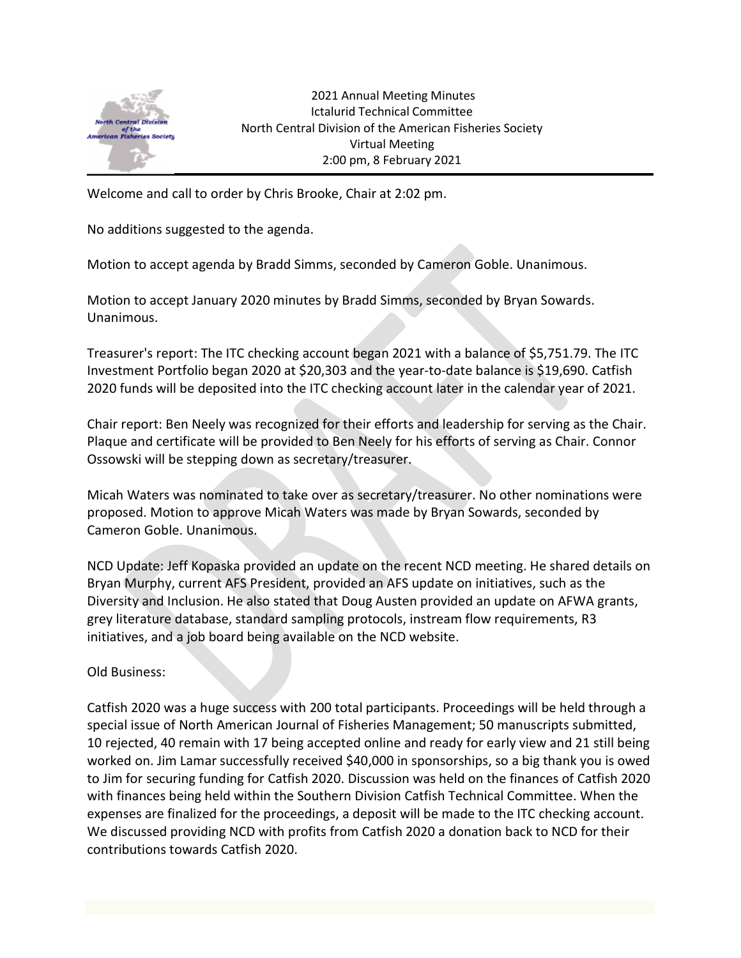

 2021 Annual Meeting Minutes Ictalurid Technical Committee North Central Division of the American Fisheries Society Virtual Meeting 2:00 pm, 8 February 2021

Welcome and call to order by Chris Brooke, Chair at 2:02 pm.

No additions suggested to the agenda.

Motion to accept agenda by Bradd Simms, seconded by Cameron Goble. Unanimous.

Motion to accept January 2020 minutes by Bradd Simms, seconded by Bryan Sowards. Unanimous.

Treasurer's report: The ITC checking account began 2021 with a balance of \$5,751.79. The ITC Investment Portfolio began 2020 at \$20,303 and the year-to-date balance is \$19,690. Catfish 2020 funds will be deposited into the ITC checking account later in the calendar year of 2021.

Chair report: Ben Neely was recognized for their efforts and leadership for serving as the Chair. Plaque and certificate will be provided to Ben Neely for his efforts of serving as Chair. Connor Ossowski will be stepping down as secretary/treasurer.

Micah Waters was nominated to take over as secretary/treasurer. No other nominations were proposed. Motion to approve Micah Waters was made by Bryan Sowards, seconded by Cameron Goble. Unanimous.

NCD Update: Jeff Kopaska provided an update on the recent NCD meeting. He shared details on Bryan Murphy, current AFS President, provided an AFS update on initiatives, such as the Diversity and Inclusion. He also stated that Doug Austen provided an update on AFWA grants, grey literature database, standard sampling protocols, instream flow requirements, R3 initiatives, and a job board being available on the NCD website.

Old Business:

Catfish 2020 was a huge success with 200 total participants. Proceedings will be held through a special issue of North American Journal of Fisheries Management; 50 manuscripts submitted, 10 rejected, 40 remain with 17 being accepted online and ready for early view and 21 still being worked on. Jim Lamar successfully received \$40,000 in sponsorships, so a big thank you is owed to Jim for securing funding for Catfish 2020. Discussion was held on the finances of Catfish 2020 with finances being held within the Southern Division Catfish Technical Committee. When the expenses are finalized for the proceedings, a deposit will be made to the ITC checking account. We discussed providing NCD with profits from Catfish 2020 a donation back to NCD for their contributions towards Catfish 2020.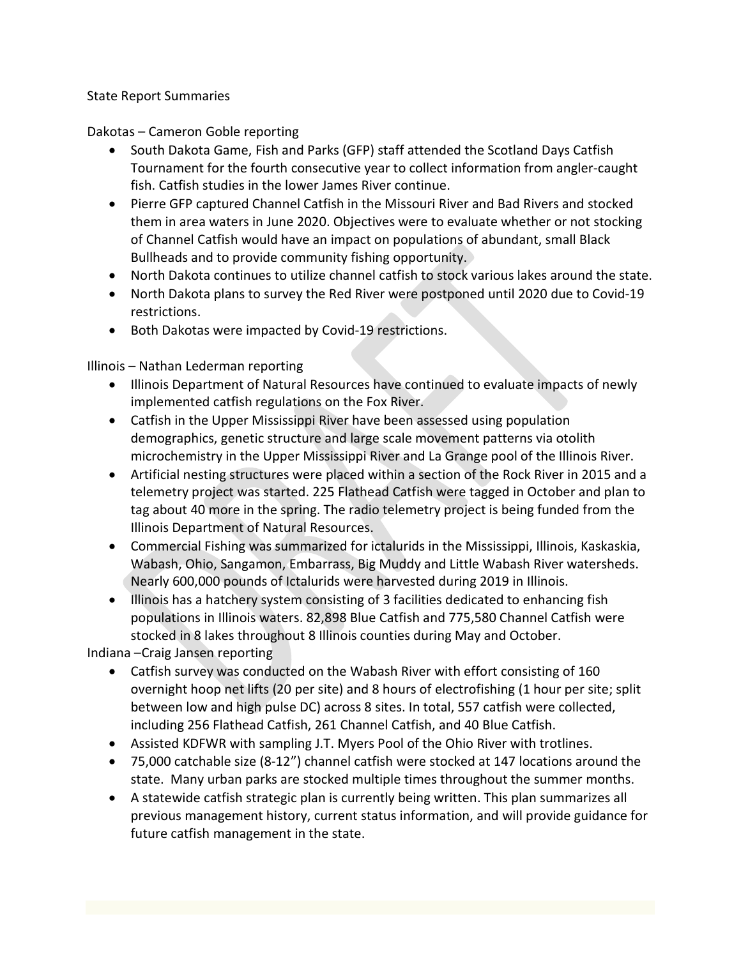## State Report Summaries

Dakotas – Cameron Goble reporting

- South Dakota Game, Fish and Parks (GFP) staff attended the Scotland Days Catfish Tournament for the fourth consecutive year to collect information from angler-caught fish. Catfish studies in the lower James River continue.
- Pierre GFP captured Channel Catfish in the Missouri River and Bad Rivers and stocked them in area waters in June 2020. Objectives were to evaluate whether or not stocking of Channel Catfish would have an impact on populations of abundant, small Black Bullheads and to provide community fishing opportunity.
- North Dakota continues to utilize channel catfish to stock various lakes around the state.
- North Dakota plans to survey the Red River were postponed until 2020 due to Covid-19 restrictions.
- Both Dakotas were impacted by Covid-19 restrictions.

Illinois – Nathan Lederman reporting

- Illinois Department of Natural Resources have continued to evaluate impacts of newly implemented catfish regulations on the Fox River.
- Catfish in the Upper Mississippi River have been assessed using population demographics, genetic structure and large scale movement patterns via otolith microchemistry in the Upper Mississippi River and La Grange pool of the Illinois River.
- Artificial nesting structures were placed within a section of the Rock River in 2015 and a telemetry project was started. 225 Flathead Catfish were tagged in October and plan to tag about 40 more in the spring. The radio telemetry project is being funded from the Illinois Department of Natural Resources.
- Commercial Fishing was summarized for ictalurids in the Mississippi, Illinois, Kaskaskia, Wabash, Ohio, Sangamon, Embarrass, Big Muddy and Little Wabash River watersheds. Nearly 600,000 pounds of Ictalurids were harvested during 2019 in Illinois.
- Illinois has a hatchery system consisting of 3 facilities dedicated to enhancing fish populations in Illinois waters. 82,898 Blue Catfish and 775,580 Channel Catfish were stocked in 8 lakes throughout 8 Illinois counties during May and October.

Indiana –Craig Jansen reporting

- Catfish survey was conducted on the Wabash River with effort consisting of 160 overnight hoop net lifts (20 per site) and 8 hours of electrofishing (1 hour per site; split between low and high pulse DC) across 8 sites. In total, 557 catfish were collected, including 256 Flathead Catfish, 261 Channel Catfish, and 40 Blue Catfish.
- Assisted KDFWR with sampling J.T. Myers Pool of the Ohio River with trotlines.
- 75,000 catchable size (8-12") channel catfish were stocked at 147 locations around the state. Many urban parks are stocked multiple times throughout the summer months.
- A statewide catfish strategic plan is currently being written. This plan summarizes all previous management history, current status information, and will provide guidance for future catfish management in the state.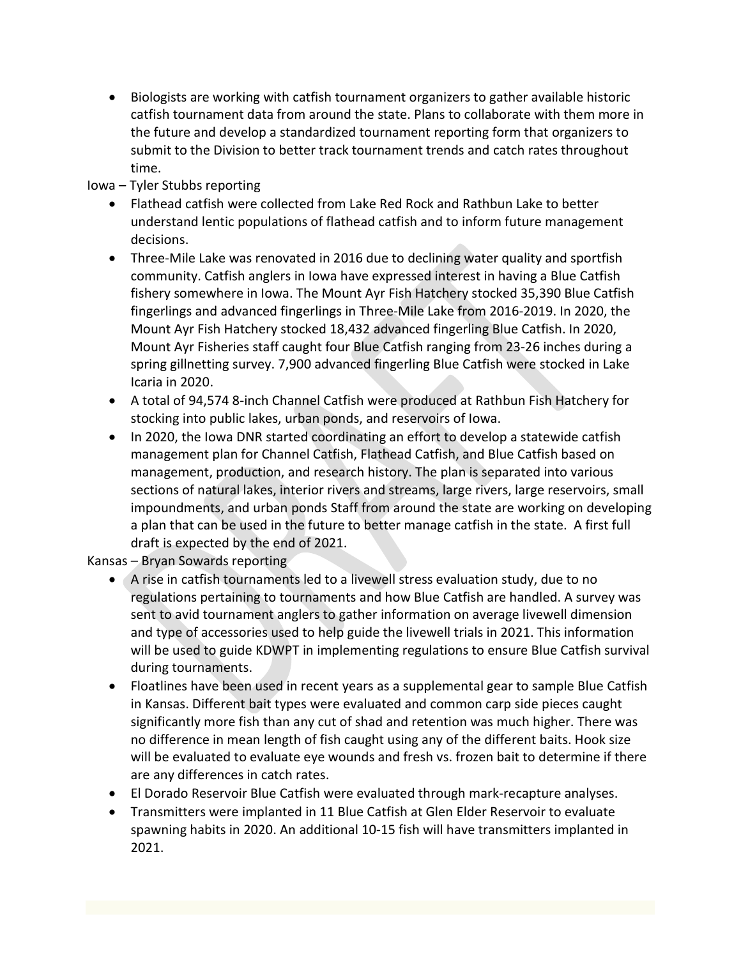Biologists are working with catfish tournament organizers to gather available historic catfish tournament data from around the state. Plans to collaborate with them more in the future and develop a standardized tournament reporting form that organizers to submit to the Division to better track tournament trends and catch rates throughout time.

## Iowa – Tyler Stubbs reporting

- Flathead catfish were collected from Lake Red Rock and Rathbun Lake to better understand lentic populations of flathead catfish and to inform future management decisions.
- Three-Mile Lake was renovated in 2016 due to declining water quality and sportfish community. Catfish anglers in Iowa have expressed interest in having a Blue Catfish fishery somewhere in Iowa. The Mount Ayr Fish Hatchery stocked 35,390 Blue Catfish fingerlings and advanced fingerlings in Three-Mile Lake from 2016-2019. In 2020, the Mount Ayr Fish Hatchery stocked 18,432 advanced fingerling Blue Catfish. In 2020, Mount Ayr Fisheries staff caught four Blue Catfish ranging from 23-26 inches during a spring gillnetting survey. 7,900 advanced fingerling Blue Catfish were stocked in Lake Icaria in 2020.
- A total of 94,574 8-inch Channel Catfish were produced at Rathbun Fish Hatchery for stocking into public lakes, urban ponds, and reservoirs of Iowa.
- In 2020, the Iowa DNR started coordinating an effort to develop a statewide catfish management plan for Channel Catfish, Flathead Catfish, and Blue Catfish based on management, production, and research history. The plan is separated into various sections of natural lakes, interior rivers and streams, large rivers, large reservoirs, small impoundments, and urban ponds Staff from around the state are working on developing a plan that can be used in the future to better manage catfish in the state. A first full draft is expected by the end of 2021.

Kansas – Bryan Sowards reporting

- A rise in catfish tournaments led to a livewell stress evaluation study, due to no regulations pertaining to tournaments and how Blue Catfish are handled. A survey was sent to avid tournament anglers to gather information on average livewell dimension and type of accessories used to help guide the livewell trials in 2021. This information will be used to guide KDWPT in implementing regulations to ensure Blue Catfish survival during tournaments.
- Floatlines have been used in recent years as a supplemental gear to sample Blue Catfish in Kansas. Different bait types were evaluated and common carp side pieces caught significantly more fish than any cut of shad and retention was much higher. There was no difference in mean length of fish caught using any of the different baits. Hook size will be evaluated to evaluate eye wounds and fresh vs. frozen bait to determine if there are any differences in catch rates.
- El Dorado Reservoir Blue Catfish were evaluated through mark-recapture analyses.
- Transmitters were implanted in 11 Blue Catfish at Glen Elder Reservoir to evaluate spawning habits in 2020. An additional 10-15 fish will have transmitters implanted in 2021.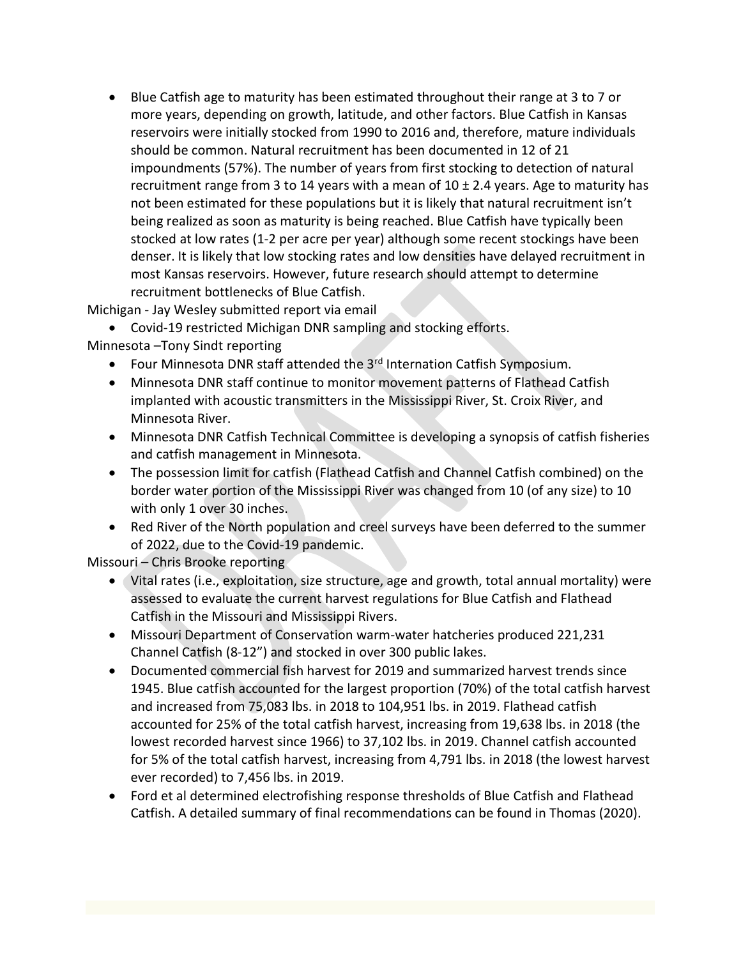Blue Catfish age to maturity has been estimated throughout their range at 3 to 7 or more years, depending on growth, latitude, and other factors. Blue Catfish in Kansas reservoirs were initially stocked from 1990 to 2016 and, therefore, mature individuals should be common. Natural recruitment has been documented in 12 of 21 impoundments (57%). The number of years from first stocking to detection of natural recruitment range from 3 to 14 years with a mean of  $10 \pm 2.4$  years. Age to maturity has not been estimated for these populations but it is likely that natural recruitment isn't being realized as soon as maturity is being reached. Blue Catfish have typically been stocked at low rates (1-2 per acre per year) although some recent stockings have been denser. It is likely that low stocking rates and low densities have delayed recruitment in most Kansas reservoirs. However, future research should attempt to determine recruitment bottlenecks of Blue Catfish.

Michigan - Jay Wesley submitted report via email

Covid-19 restricted Michigan DNR sampling and stocking efforts.

- Minnesota –Tony Sindt reporting
	- Four Minnesota DNR staff attended the 3<sup>rd</sup> Internation Catfish Symposium.
	- Minnesota DNR staff continue to monitor movement patterns of Flathead Catfish implanted with acoustic transmitters in the Mississippi River, St. Croix River, and Minnesota River.
	- Minnesota DNR Catfish Technical Committee is developing a synopsis of catfish fisheries and catfish management in Minnesota.
	- The possession limit for catfish (Flathead Catfish and Channel Catfish combined) on the border water portion of the Mississippi River was changed from 10 (of any size) to 10 with only 1 over 30 inches.
	- Red River of the North population and creel surveys have been deferred to the summer of 2022, due to the Covid-19 pandemic.

Missouri – Chris Brooke reporting

- Vital rates (i.e., exploitation, size structure, age and growth, total annual mortality) were assessed to evaluate the current harvest regulations for Blue Catfish and Flathead Catfish in the Missouri and Mississippi Rivers.
- Missouri Department of Conservation warm-water hatcheries produced 221,231 Channel Catfish (8-12") and stocked in over 300 public lakes.
- Documented commercial fish harvest for 2019 and summarized harvest trends since 1945. Blue catfish accounted for the largest proportion (70%) of the total catfish harvest and increased from 75,083 lbs. in 2018 to 104,951 lbs. in 2019. Flathead catfish accounted for 25% of the total catfish harvest, increasing from 19,638 lbs. in 2018 (the lowest recorded harvest since 1966) to 37,102 lbs. in 2019. Channel catfish accounted for 5% of the total catfish harvest, increasing from 4,791 lbs. in 2018 (the lowest harvest ever recorded) to 7,456 lbs. in 2019.
- Ford et al determined electrofishing response thresholds of Blue Catfish and Flathead Catfish. A detailed summary of final recommendations can be found in Thomas (2020).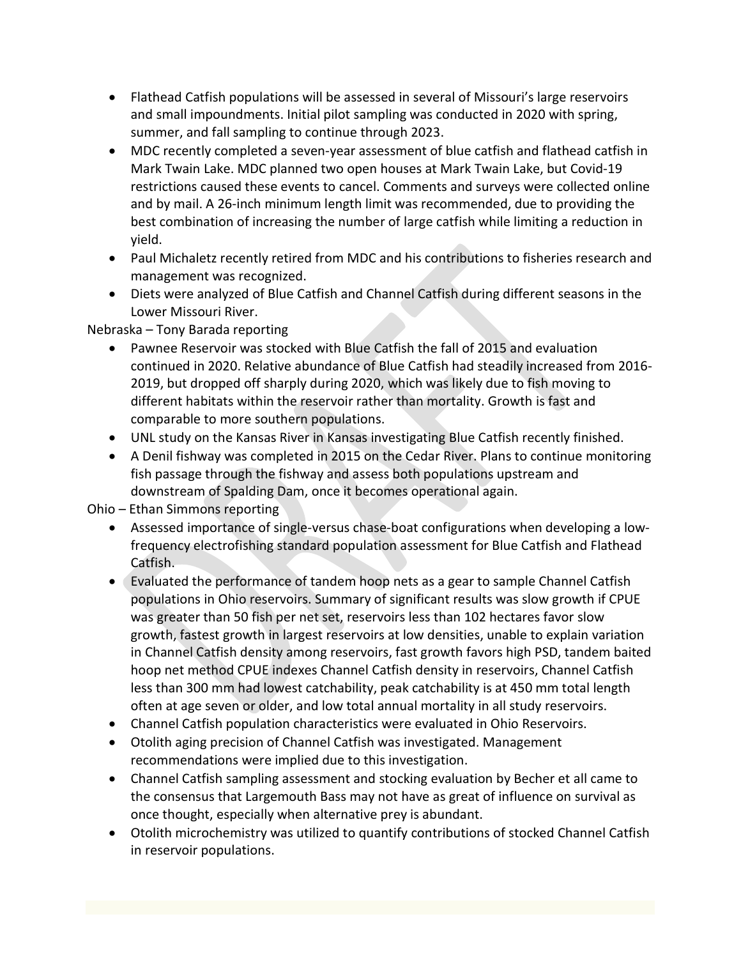- Flathead Catfish populations will be assessed in several of Missouri's large reservoirs and small impoundments. Initial pilot sampling was conducted in 2020 with spring, summer, and fall sampling to continue through 2023.
- MDC recently completed a seven-year assessment of blue catfish and flathead catfish in Mark Twain Lake. MDC planned two open houses at Mark Twain Lake, but Covid-19 restrictions caused these events to cancel. Comments and surveys were collected online and by mail. A 26-inch minimum length limit was recommended, due to providing the best combination of increasing the number of large catfish while limiting a reduction in yield.
- Paul Michaletz recently retired from MDC and his contributions to fisheries research and management was recognized.
- Diets were analyzed of Blue Catfish and Channel Catfish during different seasons in the Lower Missouri River.

## Nebraska – Tony Barada reporting

- Pawnee Reservoir was stocked with Blue Catfish the fall of 2015 and evaluation continued in 2020. Relative abundance of Blue Catfish had steadily increased from 2016- 2019, but dropped off sharply during 2020, which was likely due to fish moving to different habitats within the reservoir rather than mortality. Growth is fast and comparable to more southern populations.
- UNL study on the Kansas River in Kansas investigating Blue Catfish recently finished.
- A Denil fishway was completed in 2015 on the Cedar River. Plans to continue monitoring fish passage through the fishway and assess both populations upstream and downstream of Spalding Dam, once it becomes operational again.

Ohio – Ethan Simmons reporting

- Assessed importance of single-versus chase-boat configurations when developing a lowfrequency electrofishing standard population assessment for Blue Catfish and Flathead Catfish.
- Evaluated the performance of tandem hoop nets as a gear to sample Channel Catfish populations in Ohio reservoirs. Summary of significant results was slow growth if CPUE was greater than 50 fish per net set, reservoirs less than 102 hectares favor slow growth, fastest growth in largest reservoirs at low densities, unable to explain variation in Channel Catfish density among reservoirs, fast growth favors high PSD, tandem baited hoop net method CPUE indexes Channel Catfish density in reservoirs, Channel Catfish less than 300 mm had lowest catchability, peak catchability is at 450 mm total length often at age seven or older, and low total annual mortality in all study reservoirs.
- Channel Catfish population characteristics were evaluated in Ohio Reservoirs.
- Otolith aging precision of Channel Catfish was investigated. Management recommendations were implied due to this investigation.
- Channel Catfish sampling assessment and stocking evaluation by Becher et all came to the consensus that Largemouth Bass may not have as great of influence on survival as once thought, especially when alternative prey is abundant.
- Otolith microchemistry was utilized to quantify contributions of stocked Channel Catfish in reservoir populations.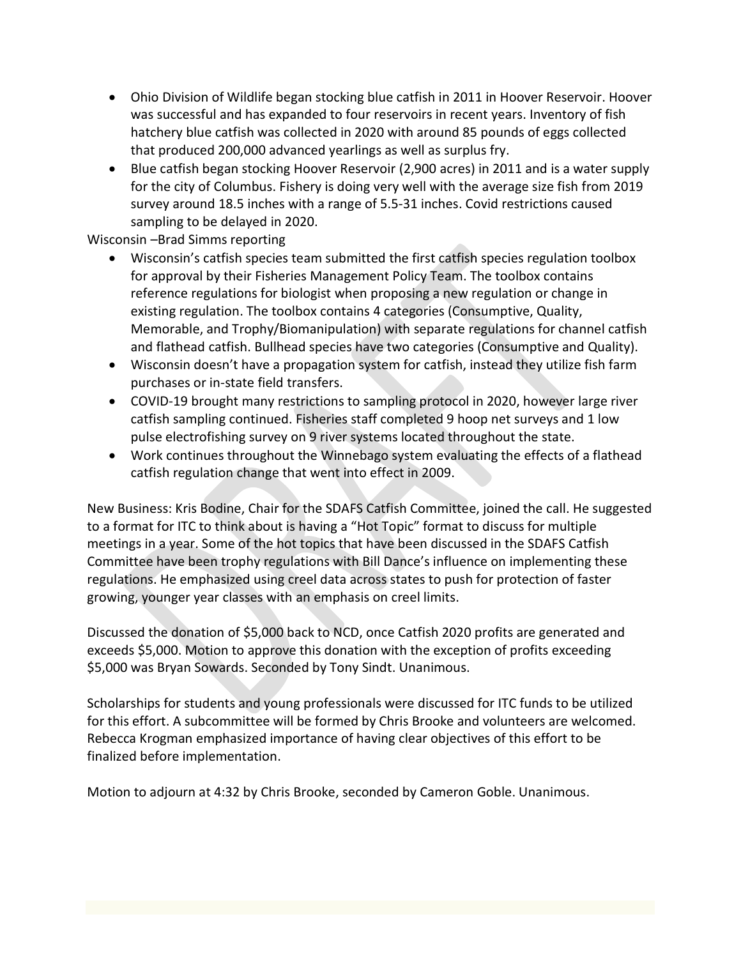- Ohio Division of Wildlife began stocking blue catfish in 2011 in Hoover Reservoir. Hoover was successful and has expanded to four reservoirs in recent years. Inventory of fish hatchery blue catfish was collected in 2020 with around 85 pounds of eggs collected that produced 200,000 advanced yearlings as well as surplus fry.
- Blue catfish began stocking Hoover Reservoir (2,900 acres) in 2011 and is a water supply for the city of Columbus. Fishery is doing very well with the average size fish from 2019 survey around 18.5 inches with a range of 5.5-31 inches. Covid restrictions caused sampling to be delayed in 2020.

Wisconsin –Brad Simms reporting

- Wisconsin's catfish species team submitted the first catfish species regulation toolbox for approval by their Fisheries Management Policy Team. The toolbox contains reference regulations for biologist when proposing a new regulation or change in existing regulation. The toolbox contains 4 categories (Consumptive, Quality, Memorable, and Trophy/Biomanipulation) with separate regulations for channel catfish and flathead catfish. Bullhead species have two categories (Consumptive and Quality).
- Wisconsin doesn't have a propagation system for catfish, instead they utilize fish farm purchases or in-state field transfers.
- COVID-19 brought many restrictions to sampling protocol in 2020, however large river catfish sampling continued. Fisheries staff completed 9 hoop net surveys and 1 low pulse electrofishing survey on 9 river systems located throughout the state.
- Work continues throughout the Winnebago system evaluating the effects of a flathead catfish regulation change that went into effect in 2009.

New Business: Kris Bodine, Chair for the SDAFS Catfish Committee, joined the call. He suggested to a format for ITC to think about is having a "Hot Topic" format to discuss for multiple meetings in a year. Some of the hot topics that have been discussed in the SDAFS Catfish Committee have been trophy regulations with Bill Dance's influence on implementing these regulations. He emphasized using creel data across states to push for protection of faster growing, younger year classes with an emphasis on creel limits.

Discussed the donation of \$5,000 back to NCD, once Catfish 2020 profits are generated and exceeds \$5,000. Motion to approve this donation with the exception of profits exceeding \$5,000 was Bryan Sowards. Seconded by Tony Sindt. Unanimous.

Scholarships for students and young professionals were discussed for ITC funds to be utilized for this effort. A subcommittee will be formed by Chris Brooke and volunteers are welcomed. Rebecca Krogman emphasized importance of having clear objectives of this effort to be finalized before implementation.

Motion to adjourn at 4:32 by Chris Brooke, seconded by Cameron Goble. Unanimous.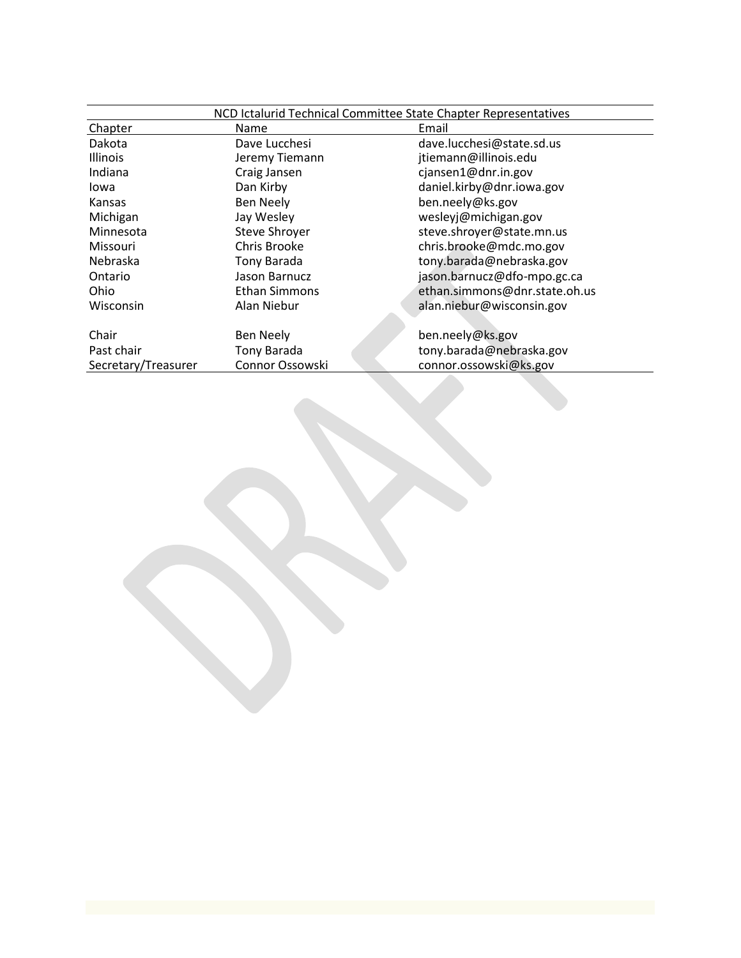|                     | NCD Ictalurid Technical Committee State Chapter Representatives |                               |  |
|---------------------|-----------------------------------------------------------------|-------------------------------|--|
| Chapter             | Name                                                            | Email                         |  |
| Dakota              | Dave Lucchesi                                                   | dave.lucchesi@state.sd.us     |  |
| Illinois            | Jeremy Tiemann                                                  | jtiemann@illinois.edu         |  |
| Indiana             | Craig Jansen                                                    | cjansen1@dnr.in.gov           |  |
| lowa                | Dan Kirby                                                       | daniel.kirby@dnr.iowa.gov     |  |
| Kansas              | <b>Ben Neely</b>                                                | ben.neely@ks.gov              |  |
| Michigan            | Jay Wesley                                                      | wesleyj@michigan.gov          |  |
| Minnesota           | Steve Shroyer                                                   | steve.shroyer@state.mn.us     |  |
| <b>Missouri</b>     | Chris Brooke                                                    | chris.brooke@mdc.mo.gov       |  |
| Nebraska            | Tony Barada                                                     | tony.barada@nebraska.gov      |  |
| Ontario             | Jason Barnucz                                                   | jason.barnucz@dfo-mpo.gc.ca   |  |
| Ohio                | Ethan Simmons                                                   | ethan.simmons@dnr.state.oh.us |  |
| Wisconsin           | Alan Niebur                                                     | alan.niebur@wisconsin.gov     |  |
|                     |                                                                 |                               |  |
| Chair               | Ben Neely                                                       | ben.neely@ks.gov              |  |
| Past chair          | Tony Barada                                                     | tony.barada@nebraska.gov      |  |
| Secretary/Treasurer | Connor Ossowski                                                 | connor.ossowski@ks.gov        |  |